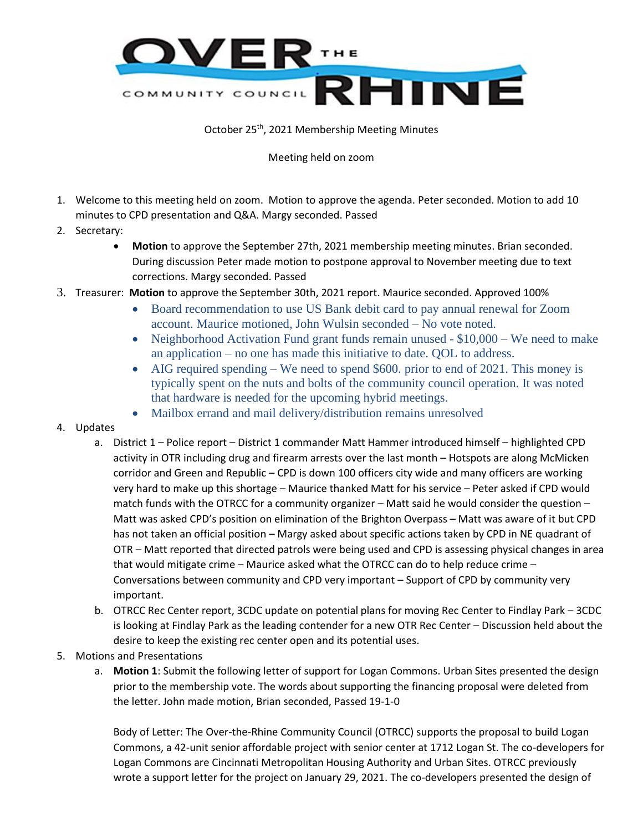

## October 25th, 2021 Membership Meeting Minutes

## Meeting held on zoom

- 1. Welcome to this meeting held on zoom. Motion to approve the agenda. Peter seconded. Motion to add 10 minutes to CPD presentation and Q&A. Margy seconded. Passed
- 2. Secretary:
	- **Motion** to approve the September 27th, 2021 membership meeting minutes. Brian seconded. During discussion Peter made motion to postpone approval to November meeting due to text corrections. Margy seconded. Passed
- 3. Treasurer: **Motion** to approve the September 30th, 2021 report. Maurice seconded. Approved 100%
	- Board recommendation to use US Bank debit card to pay annual renewal for Zoom account. Maurice motioned, John Wulsin seconded – No vote noted.
	- Neighborhood Activation Fund grant funds remain unused \$10,000 We need to make an application – no one has made this initiative to date. QOL to address.
	- AIG required spending We need to spend \$600, prior to end of 2021. This money is typically spent on the nuts and bolts of the community council operation. It was noted that hardware is needed for the upcoming hybrid meetings.
	- Mailbox errand and mail delivery/distribution remains unresolved
- 4. Updates
	- a. District 1 Police report District 1 commander Matt Hammer introduced himself highlighted CPD activity in OTR including drug and firearm arrests over the last month – Hotspots are along McMicken corridor and Green and Republic – CPD is down 100 officers city wide and many officers are working very hard to make up this shortage – Maurice thanked Matt for his service – Peter asked if CPD would match funds with the OTRCC for a community organizer – Matt said he would consider the question – Matt was asked CPD's position on elimination of the Brighton Overpass – Matt was aware of it but CPD has not taken an official position – Margy asked about specific actions taken by CPD in NE quadrant of OTR – Matt reported that directed patrols were being used and CPD is assessing physical changes in area that would mitigate crime – Maurice asked what the OTRCC can do to help reduce crime – Conversations between community and CPD very important – Support of CPD by community very important.
	- b. OTRCC Rec Center report, 3CDC update on potential plans for moving Rec Center to Findlay Park 3CDC is looking at Findlay Park as the leading contender for a new OTR Rec Center – Discussion held about the desire to keep the existing rec center open and its potential uses.
- 5. Motions and Presentations
	- a. **Motion 1**: Submit the following letter of support for Logan Commons. Urban Sites presented the design prior to the membership vote. The words about supporting the financing proposal were deleted from the letter. John made motion, Brian seconded, Passed 19-1-0

Body of Letter: The Over-the-Rhine Community Council (OTRCC) supports the proposal to build Logan Commons, a 42-unit senior affordable project with senior center at 1712 Logan St. The co-developers for Logan Commons are Cincinnati Metropolitan Housing Authority and Urban Sites. OTRCC previously wrote a support letter for the project on January 29, 2021. The co-developers presented the design of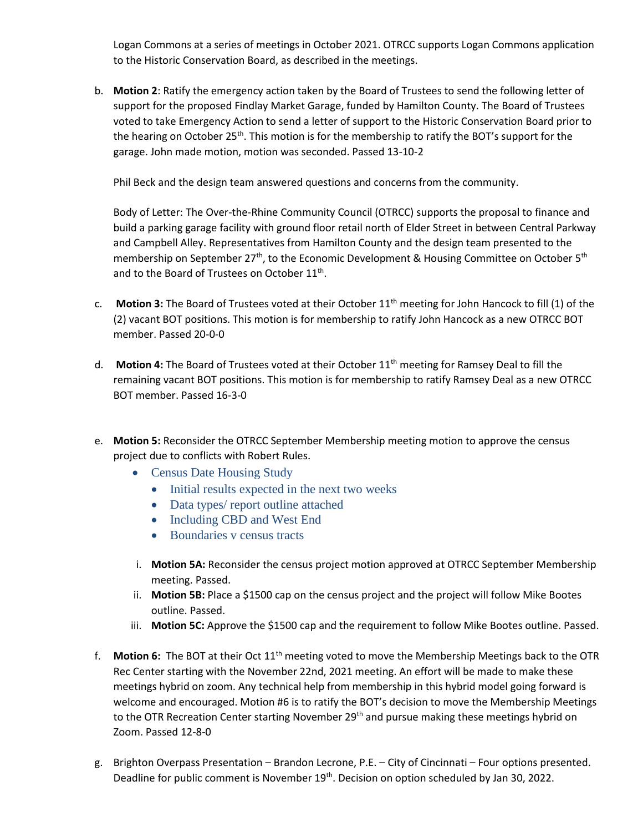Logan Commons at a series of meetings in October 2021. OTRCC supports Logan Commons application to the Historic Conservation Board, as described in the meetings.

b. **Motion 2**: Ratify the emergency action taken by the Board of Trustees to send the following letter of support for the proposed Findlay Market Garage, funded by Hamilton County. The Board of Trustees voted to take Emergency Action to send a letter of support to the Historic Conservation Board prior to the hearing on October 25<sup>th</sup>. This motion is for the membership to ratify the BOT's support for the garage. John made motion, motion was seconded. Passed 13-10-2

Phil Beck and the design team answered questions and concerns from the community.

Body of Letter: The Over-the-Rhine Community Council (OTRCC) supports the proposal to finance and build a parking garage facility with ground floor retail north of Elder Street in between Central Parkway and Campbell Alley. Representatives from Hamilton County and the design team presented to the membership on September 27<sup>th</sup>, to the Economic Development & Housing Committee on October 5<sup>th</sup> and to the Board of Trustees on October 11<sup>th</sup>.

- c. **Motion 3:** The Board of Trustees voted at their October 11<sup>th</sup> meeting for John Hancock to fill (1) of the (2) vacant BOT positions. This motion is for membership to ratify John Hancock as a new OTRCC BOT member. Passed 20-0-0
- d. **Motion 4:** The Board of Trustees voted at their October 11<sup>th</sup> meeting for Ramsey Deal to fill the remaining vacant BOT positions. This motion is for membership to ratify Ramsey Deal as a new OTRCC BOT member. Passed 16-3-0
- e. **Motion 5:** Reconsider the OTRCC September Membership meeting motion to approve the census project due to conflicts with Robert Rules.
	- Census Date Housing Study
		- Initial results expected in the next two weeks
		- Data types/ report outline attached
		- Including CBD and West End
		- Boundaries v census tracts
	- i. **Motion 5A:** Reconsider the census project motion approved at OTRCC September Membership meeting. Passed.
	- ii. **Motion 5B:** Place a \$1500 cap on the census project and the project will follow Mike Bootes outline. Passed.
	- iii. **Motion 5C:** Approve the \$1500 cap and the requirement to follow Mike Bootes outline. Passed.
- f. **Motion 6:** The BOT at their Oct 11th meeting voted to move the Membership Meetings back to the OTR Rec Center starting with the November 22nd, 2021 meeting. An effort will be made to make these meetings hybrid on zoom. Any technical help from membership in this hybrid model going forward is welcome and encouraged. Motion #6 is to ratify the BOT's decision to move the Membership Meetings to the OTR Recreation Center starting November 29<sup>th</sup> and pursue making these meetings hybrid on Zoom. Passed 12-8-0
- g. Brighton Overpass Presentation Brandon Lecrone, P.E. City of Cincinnati Four options presented. Deadline for public comment is November 19<sup>th</sup>. Decision on option scheduled by Jan 30, 2022.